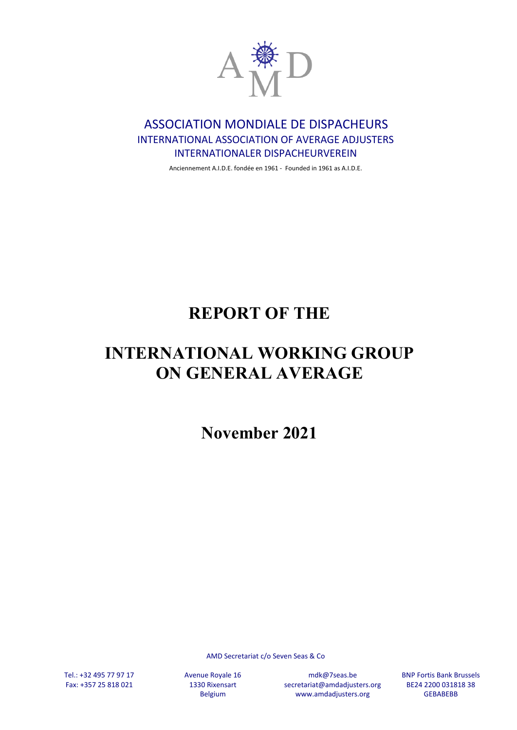

# ASSOCIATION MONDIALE DE DISPACHEURS INTERNATIONAL ASSOCIATION OF AVERAGE ADJUSTERS INTERNATIONALER DISPACHEURVEREIN

Anciennement A.I.D.E. fondée en 1961 - Founded in 1961 as A.I.D.E.

# **REPORT OF THE**

# **INTERNATIONAL WORKING GROUP ON GENERAL AVERAGE**

**November 2021**

AMD Secretariat c/o Seven Seas & Co

Tel.: +32 495 77 97 17 Fax: +357 25 818 021 Avenue Royale 16 1330 Rixensart Belgium

mdk@7seas.be secretariat@amdadjusters.org www.amdadjusters.org

BNP Fortis Bank Brussels BE24 2200 031818 38 **GEBABEBB**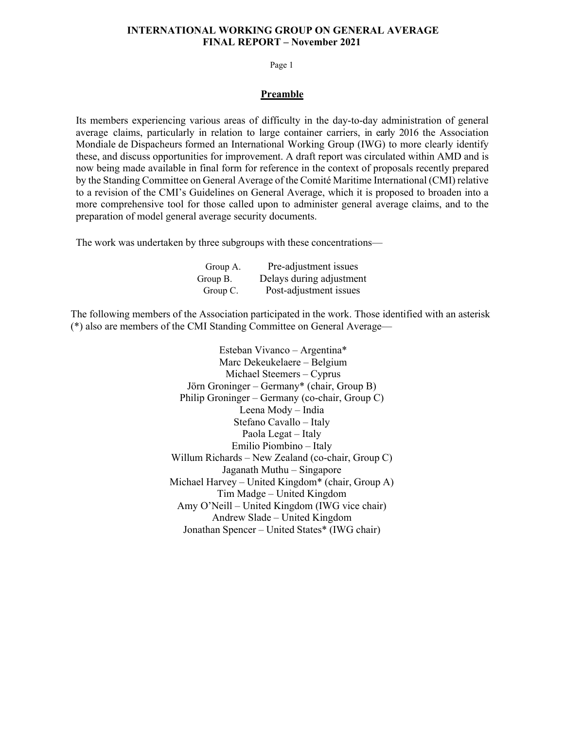Page 1

#### **Preamble**

Its members experiencing various areas of difficulty in the day-to-day administration of general average claims, particularly in relation to large container carriers, in early 2016 the Association Mondiale de Dispacheurs formed an International Working Group (IWG) to more clearly identify these, and discuss opportunities for improvement. A draft report was circulated within AMD and is now being made available in final form for reference in the context of proposals recently prepared by the Standing Committee on General Average of the Comité Maritime International (CMI) relative to a revision of the CMI's Guidelines on General Average, which it is proposed to broaden into a more comprehensive tool for those called upon to administer general average claims, and to the preparation of model general average security documents.

The work was undertaken by three subgroups with these concentrations—

| Group A. | Pre-adjustment issues    |
|----------|--------------------------|
| Group B. | Delays during adjustment |
| Group C. | Post-adjustment issues   |

The following members of the Association participated in the work. Those identified with an asterisk (\*) also are members of the CMI Standing Committee on General Average—

> Esteban Vivanco – Argentina\* Marc Dekeukelaere – Belgium Michael Steemers – Cyprus Jörn Groninger – Germany\* (chair, Group B) Philip Groninger – Germany (co-chair, Group C) Leena Mody – India Stefano Cavallo – Italy Paola Legat – Italy Emilio Piombino – Italy Willum Richards – New Zealand (co-chair, Group C) Jaganath Muthu – Singapore Michael Harvey – United Kingdom\* (chair, Group A) Tim Madge – United Kingdom Amy O'Neill – United Kingdom (IWG vice chair) Andrew Slade – United Kingdom Jonathan Spencer – United States\* (IWG chair)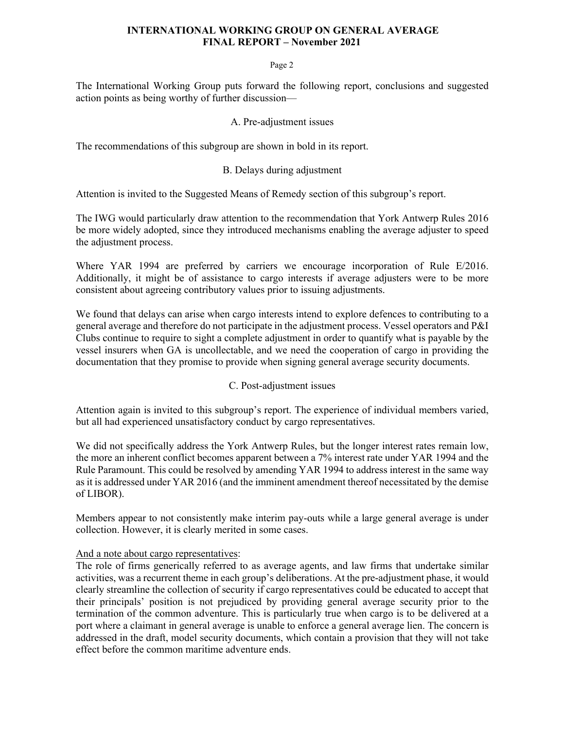#### Page 2

The International Working Group puts forward the following report, conclusions and suggested action points as being worthy of further discussion—

#### A. Pre-adjustment issues

The recommendations of this subgroup are shown in bold in its report.

### B. Delays during adjustment

Attention is invited to the Suggested Means of Remedy section of this subgroup's report.

The IWG would particularly draw attention to the recommendation that York Antwerp Rules 2016 be more widely adopted, since they introduced mechanisms enabling the average adjuster to speed the adjustment process.

Where YAR 1994 are preferred by carriers we encourage incorporation of Rule E/2016. Additionally, it might be of assistance to cargo interests if average adjusters were to be more consistent about agreeing contributory values prior to issuing adjustments.

We found that delays can arise when cargo interests intend to explore defences to contributing to a general average and therefore do not participate in the adjustment process. Vessel operators and P&I Clubs continue to require to sight a complete adjustment in order to quantify what is payable by the vessel insurers when GA is uncollectable, and we need the cooperation of cargo in providing the documentation that they promise to provide when signing general average security documents.

### C. Post-adjustment issues

Attention again is invited to this subgroup's report. The experience of individual members varied, but all had experienced unsatisfactory conduct by cargo representatives.

We did not specifically address the York Antwerp Rules, but the longer interest rates remain low, the more an inherent conflict becomes apparent between a 7% interest rate under YAR 1994 and the Rule Paramount. This could be resolved by amending YAR 1994 to address interest in the same way as it is addressed under YAR 2016 (and the imminent amendment thereof necessitated by the demise of LIBOR).

Members appear to not consistently make interim pay-outs while a large general average is under collection. However, it is clearly merited in some cases.

### And a note about cargo representatives:

The role of firms generically referred to as average agents, and law firms that undertake similar activities, was a recurrent theme in each group's deliberations. At the pre-adjustment phase, it would clearly streamline the collection of security if cargo representatives could be educated to accept that their principals' position is not prejudiced by providing general average security prior to the termination of the common adventure. This is particularly true when cargo is to be delivered at a port where a claimant in general average is unable to enforce a general average lien. The concern is addressed in the draft, model security documents, which contain a provision that they will not take effect before the common maritime adventure ends.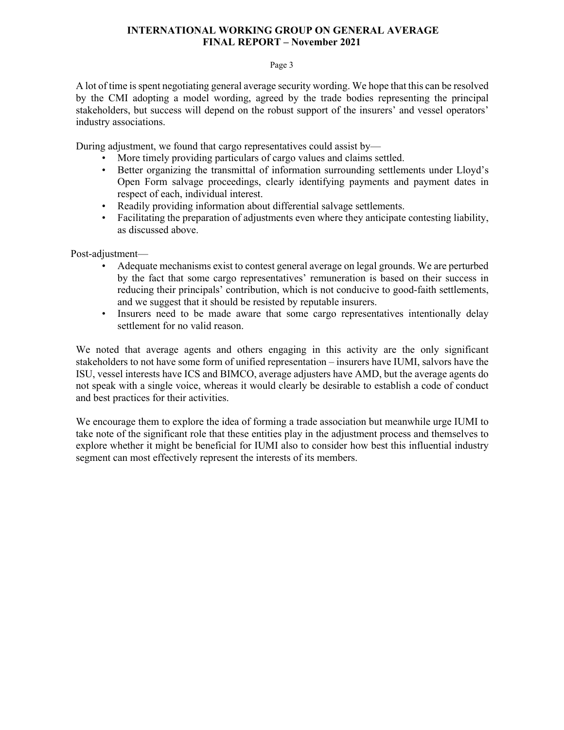#### Page 3

A lot of time is spent negotiating general average security wording. We hope that this can be resolved by the CMI adopting a model wording, agreed by the trade bodies representing the principal stakeholders, but success will depend on the robust support of the insurers' and vessel operators' industry associations.

During adjustment, we found that cargo representatives could assist by—

- More timely providing particulars of cargo values and claims settled.
- Better organizing the transmittal of information surrounding settlements under Lloyd's Open Form salvage proceedings, clearly identifying payments and payment dates in respect of each, individual interest.
- Readily providing information about differential salvage settlements.
- Facilitating the preparation of adjustments even where they anticipate contesting liability, as discussed above.

Post-adjustment—

- Adequate mechanisms exist to contest general average on legal grounds. We are perturbed by the fact that some cargo representatives' remuneration is based on their success in reducing their principals' contribution, which is not conducive to good-faith settlements, and we suggest that it should be resisted by reputable insurers.
- Insurers need to be made aware that some cargo representatives intentionally delay settlement for no valid reason.

We noted that average agents and others engaging in this activity are the only significant stakeholders to not have some form of unified representation – insurers have IUMI, salvors have the ISU, vessel interests have ICS and BIMCO, average adjusters have AMD, but the average agents do not speak with a single voice, whereas it would clearly be desirable to establish a code of conduct and best practices for their activities.

We encourage them to explore the idea of forming a trade association but meanwhile urge IUMI to take note of the significant role that these entities play in the adjustment process and themselves to explore whether it might be beneficial for IUMI also to consider how best this influential industry segment can most effectively represent the interests of its members.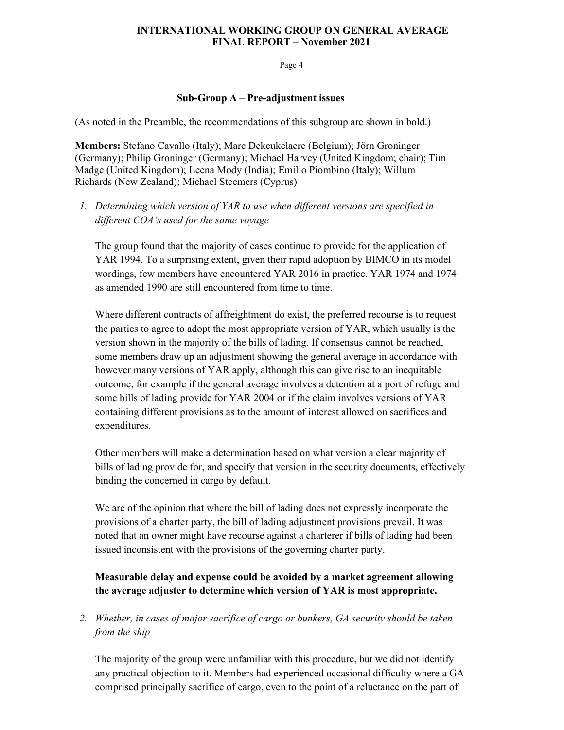Page 4

#### **Sub-Group A – Pre-adjustment issues**

(As noted in the Preamble, the recommendations of this subgroup are shown in bold.)

**Members:** Stefano Cavallo (Italy); Marc Dekeukelaere (Belgium); Jörn Groninger (Germany); Philip Groninger (Germany); Michael Harvey (United Kingdom; chair); Tim Madge (United Kingdom); Leena Mody (India); Emilio Piombino (Italy); Willum Richards (New Zealand); Michael Steemers (Cyprus)

*1. Determining which version of YAR to use when different versions are specified in different COA's used for the same voyage* 

The group found that the majority of cases continue to provide for the application of YAR 1994. To a surprising extent, given their rapid adoption by BIMCO in its model wordings, few members have encountered YAR 2016 in practice. YAR 1974 and 1974 as amended 1990 are still encountered from time to time.

Where different contracts of affreightment do exist, the preferred recourse is to request the parties to agree to adopt the most appropriate version of YAR, which usually is the version shown in the majority of the bills of lading. If consensus cannot be reached, some members draw up an adjustment showing the general average in accordance with however many versions of YAR apply, although this can give rise to an inequitable outcome, for example if the general average involves a detention at a port of refuge and some bills of lading provide for YAR 2004 or if the claim involves versions of YAR containing different provisions as to the amount of interest allowed on sacrifices and expenditures.

Other members will make a determination based on what version a clear majority of bills of lading provide for, and specify that version in the security documents, effectively binding the concerned in cargo by default.

We are of the opinion that where the bill of lading does not expressly incorporate the provisions of a charter party, the bill of lading adjustment provisions prevail. It was noted that an owner might have recourse against a charterer if bills of lading had been issued inconsistent with the provisions of the governing charter party.

# **Measurable delay and expense could be avoided by a market agreement allowing the average adjuster to determine which version of YAR is most appropriate.**

*2. Whether, in cases of major sacrifice of cargo or bunkers, GA security should be taken from the ship* 

The majority of the group were unfamiliar with this procedure, but we did not identify any practical objection to it. Members had experienced occasional difficulty where a GA comprised principally sacrifice of cargo, even to the point of a reluctance on the part of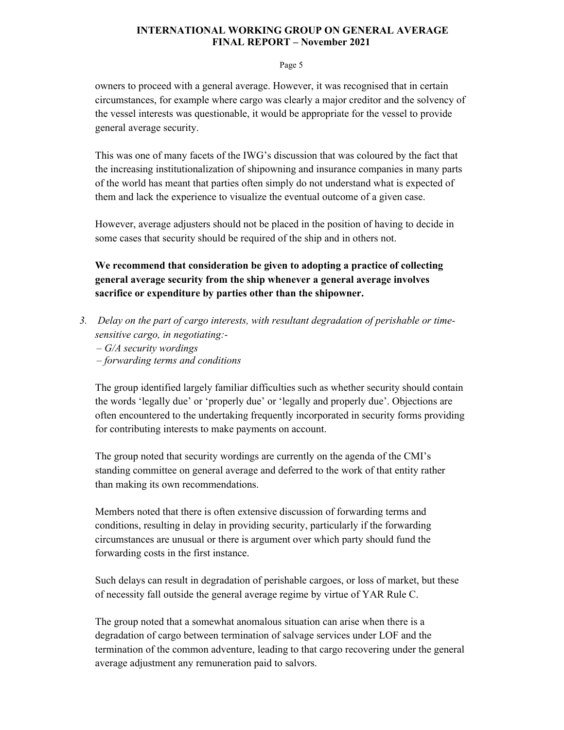#### Page 5

owners to proceed with a general average. However, it was recognised that in certain circumstances, for example where cargo was clearly a major creditor and the solvency of the vessel interests was questionable, it would be appropriate for the vessel to provide general average security.

This was one of many facets of the IWG's discussion that was coloured by the fact that the increasing institutionalization of shipowning and insurance companies in many parts of the world has meant that parties often simply do not understand what is expected of them and lack the experience to visualize the eventual outcome of a given case.

However, average adjusters should not be placed in the position of having to decide in some cases that security should be required of the ship and in others not.

**We recommend that consideration be given to adopting a practice of collecting general average security from the ship whenever a general average involves sacrifice or expenditure by parties other than the shipowner.** 

- *3. Delay on the part of cargo interests, with resultant degradation of perishable or timesensitive cargo, in negotiating:-* 
	- *– G/A security wordings*
	- *– forwarding terms and conditions*

The group identified largely familiar difficulties such as whether security should contain the words 'legally due' or 'properly due' or 'legally and properly due'. Objections are often encountered to the undertaking frequently incorporated in security forms providing for contributing interests to make payments on account.

The group noted that security wordings are currently on the agenda of the CMI's standing committee on general average and deferred to the work of that entity rather than making its own recommendations.

Members noted that there is often extensive discussion of forwarding terms and conditions, resulting in delay in providing security, particularly if the forwarding circumstances are unusual or there is argument over which party should fund the forwarding costs in the first instance.

Such delays can result in degradation of perishable cargoes, or loss of market, but these of necessity fall outside the general average regime by virtue of YAR Rule C.

The group noted that a somewhat anomalous situation can arise when there is a degradation of cargo between termination of salvage services under LOF and the termination of the common adventure, leading to that cargo recovering under the general average adjustment any remuneration paid to salvors.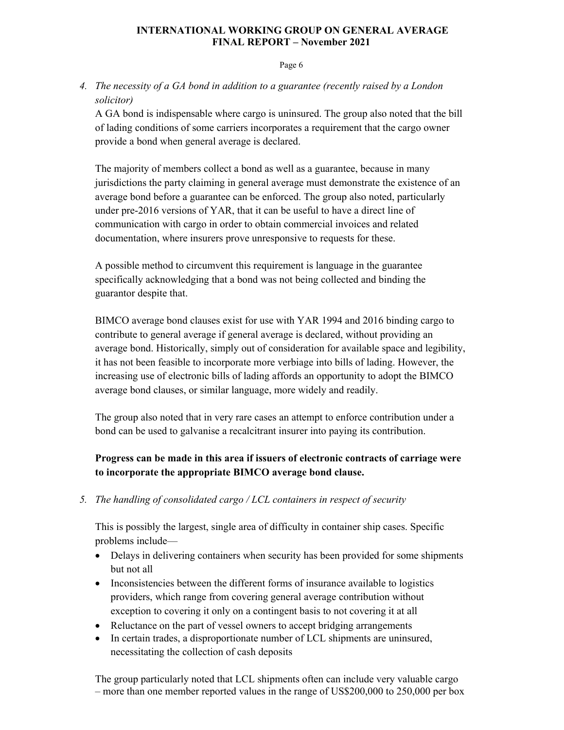Page 6

# *4. The necessity of a GA bond in addition to a guarantee (recently raised by a London solicitor)*

A GA bond is indispensable where cargo is uninsured. The group also noted that the bill of lading conditions of some carriers incorporates a requirement that the cargo owner provide a bond when general average is declared.

The majority of members collect a bond as well as a guarantee, because in many jurisdictions the party claiming in general average must demonstrate the existence of an average bond before a guarantee can be enforced. The group also noted, particularly under pre-2016 versions of YAR, that it can be useful to have a direct line of communication with cargo in order to obtain commercial invoices and related documentation, where insurers prove unresponsive to requests for these.

A possible method to circumvent this requirement is language in the guarantee specifically acknowledging that a bond was not being collected and binding the guarantor despite that.

BIMCO average bond clauses exist for use with YAR 1994 and 2016 binding cargo to contribute to general average if general average is declared, without providing an average bond. Historically, simply out of consideration for available space and legibility, it has not been feasible to incorporate more verbiage into bills of lading. However, the increasing use of electronic bills of lading affords an opportunity to adopt the BIMCO average bond clauses, or similar language, more widely and readily.

The group also noted that in very rare cases an attempt to enforce contribution under a bond can be used to galvanise a recalcitrant insurer into paying its contribution.

# **Progress can be made in this area if issuers of electronic contracts of carriage were to incorporate the appropriate BIMCO average bond clause.**

*5. The handling of consolidated cargo / LCL containers in respect of security* 

This is possibly the largest, single area of difficulty in container ship cases. Specific problems include—

- Delays in delivering containers when security has been provided for some shipments but not all
- Inconsistencies between the different forms of insurance available to logistics providers, which range from covering general average contribution without exception to covering it only on a contingent basis to not covering it at all
- Reluctance on the part of vessel owners to accept bridging arrangements
- In certain trades, a disproportionate number of LCL shipments are uninsured, necessitating the collection of cash deposits

The group particularly noted that LCL shipments often can include very valuable cargo – more than one member reported values in the range of US\$200,000 to 250,000 per box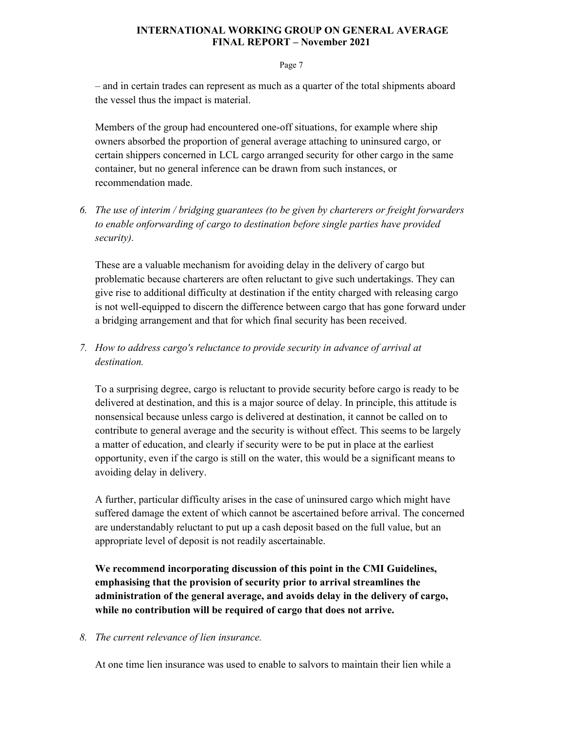#### Page 7

– and in certain trades can represent as much as a quarter of the total shipments aboard the vessel thus the impact is material.

Members of the group had encountered one-off situations, for example where ship owners absorbed the proportion of general average attaching to uninsured cargo, or certain shippers concerned in LCL cargo arranged security for other cargo in the same container, but no general inference can be drawn from such instances, or recommendation made.

*6. The use of interim / bridging guarantees (to be given by charterers or freight forwarders to enable onforwarding of cargo to destination before single parties have provided security).* 

These are a valuable mechanism for avoiding delay in the delivery of cargo but problematic because charterers are often reluctant to give such undertakings. They can give rise to additional difficulty at destination if the entity charged with releasing cargo is not well-equipped to discern the difference between cargo that has gone forward under a bridging arrangement and that for which final security has been received.

*7. How to address cargo's reluctance to provide security in advance of arrival at destination.* 

To a surprising degree, cargo is reluctant to provide security before cargo is ready to be delivered at destination, and this is a major source of delay. In principle, this attitude is nonsensical because unless cargo is delivered at destination, it cannot be called on to contribute to general average and the security is without effect. This seems to be largely a matter of education, and clearly if security were to be put in place at the earliest opportunity, even if the cargo is still on the water, this would be a significant means to avoiding delay in delivery.

A further, particular difficulty arises in the case of uninsured cargo which might have suffered damage the extent of which cannot be ascertained before arrival. The concerned are understandably reluctant to put up a cash deposit based on the full value, but an appropriate level of deposit is not readily ascertainable.

**We recommend incorporating discussion of this point in the CMI Guidelines, emphasising that the provision of security prior to arrival streamlines the administration of the general average, and avoids delay in the delivery of cargo, while no contribution will be required of cargo that does not arrive.** 

### *8. The current relevance of lien insurance.*

At one time lien insurance was used to enable to salvors to maintain their lien while a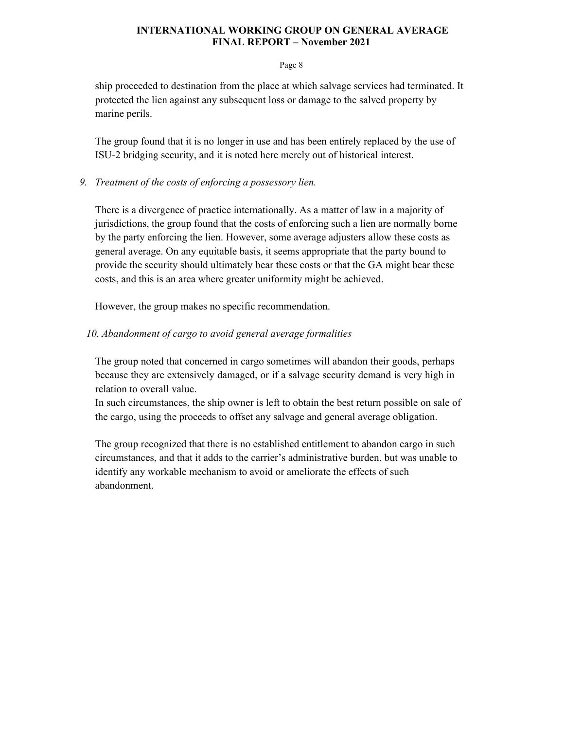#### Page 8

ship proceeded to destination from the place at which salvage services had terminated. It protected the lien against any subsequent loss or damage to the salved property by marine perils.

The group found that it is no longer in use and has been entirely replaced by the use of ISU-2 bridging security, and it is noted here merely out of historical interest.

### *9. Treatment of the costs of enforcing a possessory lien.*

There is a divergence of practice internationally. As a matter of law in a majority of jurisdictions, the group found that the costs of enforcing such a lien are normally borne by the party enforcing the lien. However, some average adjusters allow these costs as general average. On any equitable basis, it seems appropriate that the party bound to provide the security should ultimately bear these costs or that the GA might bear these costs, and this is an area where greater uniformity might be achieved.

However, the group makes no specific recommendation.

### *10. Abandonment of cargo to avoid general average formalities*

The group noted that concerned in cargo sometimes will abandon their goods, perhaps because they are extensively damaged, or if a salvage security demand is very high in relation to overall value.

In such circumstances, the ship owner is left to obtain the best return possible on sale of the cargo, using the proceeds to offset any salvage and general average obligation.

The group recognized that there is no established entitlement to abandon cargo in such circumstances, and that it adds to the carrier's administrative burden, but was unable to identify any workable mechanism to avoid or ameliorate the effects of such abandonment.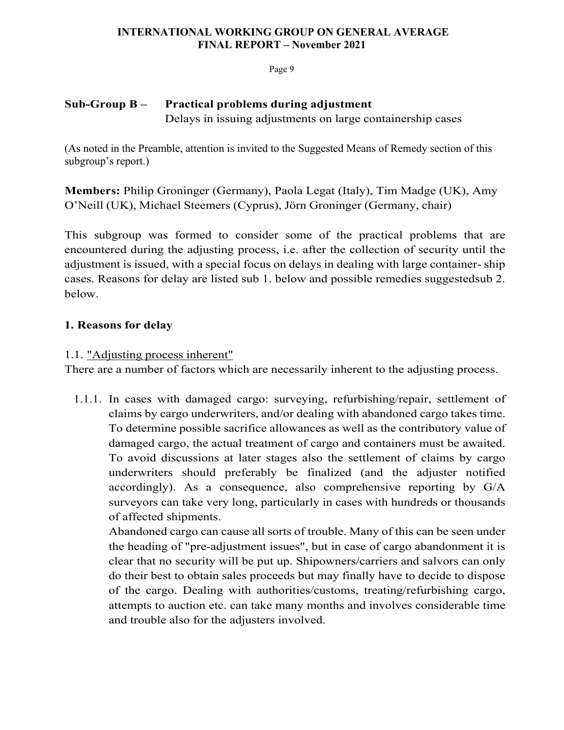Page 9

# **Sub-Group B – Practical problems during adjustment** Delays in issuing adjustments on large containership cases

(As noted in the Preamble, attention is invited to the Suggested Means of Remedy section of this subgroup's report.)

**Members:** Philip Groninger (Germany), Paola Legat (Italy), Tim Madge (UK), Amy O'Neill (UK), Michael Steemers (Cyprus), Jörn Groninger (Germany, chair)

This subgroup was formed to consider some of the practical problems that are encountered during the adjusting process, i.e. after the collection of security until the adjustment is issued, with a special focus on delays in dealing with large container- ship cases. Reasons for delay are listed sub 1. below and possible remedies suggested sub 2. below.

# **1. Reasons for delay**

# 1.1. "Adjusting process inherent"

There are a number of factors which are necessarily inherent to the adjusting process.

1.1.1. In cases with damaged cargo: surveying, refurbishing/repair, settlement of claims by cargo underwriters, and/or dealing with abandoned cargo takes time. To determine possible sacrifice allowances as well as the contributory value of damaged cargo, the actual treatment of cargo and containers must be awaited. To avoid discussions at later stages also the settlement of claims by cargo underwriters should preferably be finalized (and the adjuster notified accordingly). As a consequence, also comprehensive reporting by G/A surveyors can take very long, particularly in cases with hundreds or thousands of affected shipments.

Abandoned cargo can cause all sorts of trouble. Many of this can be seen under the heading of "pre-adjustment issues", but in case of cargo abandonment it is clear that no security will be put up. Shipowners/carriers and salvors can only do their best to obtain sales proceeds but may finally have to decide to dispose of the cargo. Dealing with authorities/customs, treating/refurbishing cargo, attempts to auction etc. can take many months and involves considerable time and trouble also for the adjusters involved.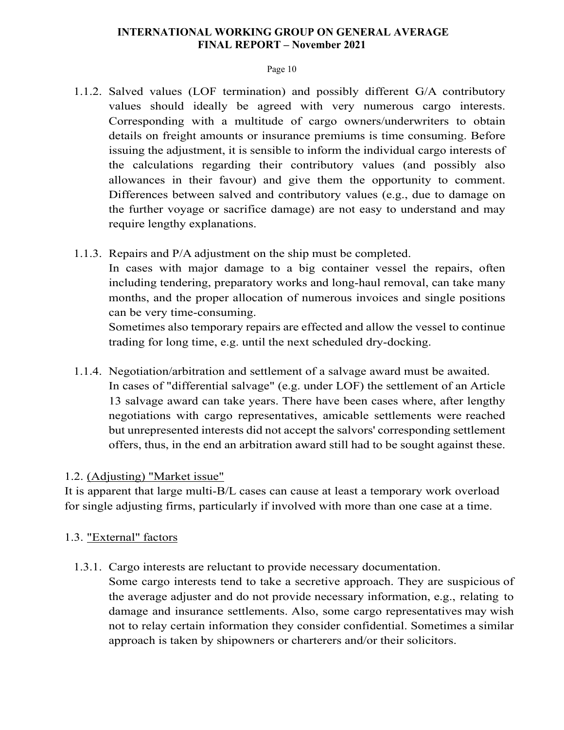### Page 10

- 1.1.2. Salved values (LOF termination) and possibly different G/A contributory values should ideally be agreed with very numerous cargo interests. Corresponding with a multitude of cargo owners/underwriters to obtain details on freight amounts or insurance premiums is time consuming. Before issuing the adjustment, it is sensible to inform the individual cargo interests of the calculations regarding their contributory values (and possibly also allowances in their favour) and give them the opportunity to comment. Differences between salved and contributory values (e.g., due to damage on the further voyage or sacrifice damage) are not easy to understand and may require lengthy explanations.
- 1.1.3. Repairs and P/A adjustment on the ship must be completed.

In cases with major damage to a big container vessel the repairs, often including tendering, preparatory works and long-haul removal, can take many months, and the proper allocation of numerous invoices and single positions can be very time-consuming.

Sometimes also temporary repairs are effected and allow the vessel to continue trading for long time, e.g. until the next scheduled dry-docking.

1.1.4. Negotiation/arbitration and settlement of a salvage award must be awaited. In cases of "differential salvage" (e.g. under LOF) the settlement of an Article 13 salvage award can take years. There have been cases where, after lengthy negotiations with cargo representatives, amicable settlements were reached but unrepresented interests did not accept the salvors' corresponding settlement offers, thus, in the end an arbitration award still had to be sought against these.

### 1.2. (Adjusting) "Market issue"

It is apparent that large multi-B/L cases can cause at least a temporary work overload for single adjusting firms, particularly if involved with more than one case at a time.

# 1.3. "External" factors

1.3.1. Cargo interests are reluctant to provide necessary documentation.

Some cargo interests tend to take a secretive approach. They are suspicious of the average adjuster and do not provide necessary information, e.g., relating to damage and insurance settlements. Also, some cargo representatives may wish not to relay certain information they consider confidential. Sometimes a similar approach is taken by shipowners or charterers and/or their solicitors.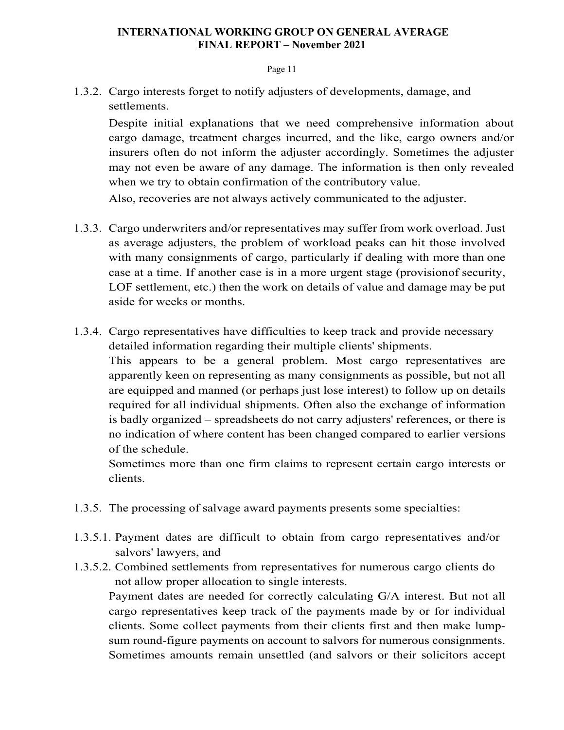#### Page 11

1.3.2. Cargo interests forget to notify adjusters of developments, damage, and settlements.

Despite initial explanations that we need comprehensive information about cargo damage, treatment charges incurred, and the like, cargo owners and/or insurers often do not inform the adjuster accordingly. Sometimes the adjuster may not even be aware of any damage. The information is then only revealed when we try to obtain confirmation of the contributory value.

Also, recoveries are not always actively communicated to the adjuster.

- 1.3.3. Cargo underwriters and/or representatives may suffer from work overload. Just as average adjusters, the problem of workload peaks can hit those involved with many consignments of cargo, particularly if dealing with more than one case at a time. If another case is in a more urgent stage (provision of security, LOF settlement, etc.) then the work on details of value and damage may be put aside for weeks or months.
- 1.3.4. Cargo representatives have difficulties to keep track and provide necessary detailed information regarding their multiple clients' shipments. This appears to be a general problem. Most cargo representatives are apparently keen on representing as many consignments as possible, but not all are equipped and manned (or perhaps just lose interest) to follow up on details required for all individual shipments. Often also the exchange of information is badly organized – spreadsheets do not carry adjusters' references, or there is no indication of where content has been changed compared to earlier versions of the schedule.

Sometimes more than one firm claims to represent certain cargo interests or clients.

- 1.3.5. The processing of salvage award payments presents some specialties:
- 1.3.5.1. Payment dates are difficult to obtain from cargo representatives and/or salvors' lawyers, and
- 1.3.5.2. Combined settlements from representatives for numerous cargo clients do not allow proper allocation to single interests.

Payment dates are needed for correctly calculating G/A interest. But not all cargo representatives keep track of the payments made by or for individual clients. Some collect payments from their clients first and then make lumpsum round-figure payments on account to salvors for numerous consignments. Sometimes amounts remain unsettled (and salvors or their solicitors accept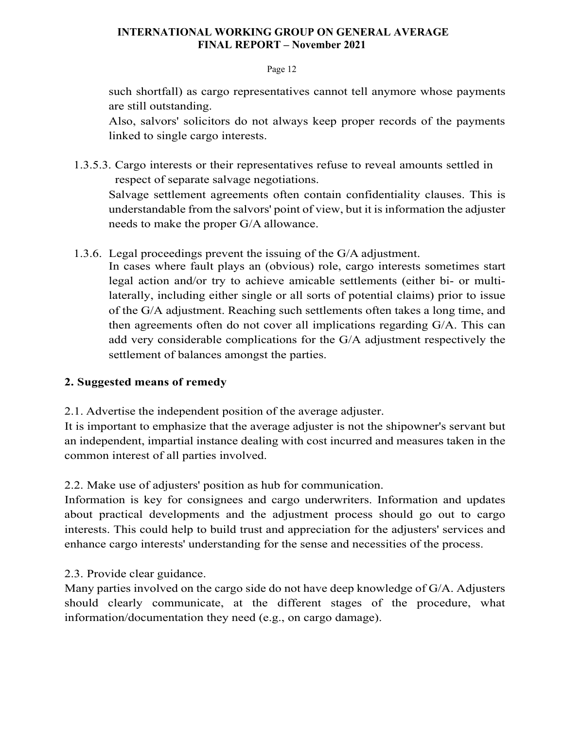### Page 12

such shortfall) as cargo representatives cannot tell anymore whose payments are still outstanding.

Also, salvors' solicitors do not always keep proper records of the payments linked to single cargo interests.

1.3.5.3. Cargo interests or their representatives refuse to reveal amounts settled in respect of separate salvage negotiations.

Salvage settlement agreements often contain confidentiality clauses. This is understandable from the salvors' point of view, but it is information the adjuster needs to make the proper G/A allowance.

1.3.6. Legal proceedings prevent the issuing of the G/A adjustment.

In cases where fault plays an (obvious) role, cargo interests sometimes start legal action and/or try to achieve amicable settlements (either bi- or multilaterally, including either single or all sorts of potential claims) prior to issue of the G/A adjustment. Reaching such settlements often takes a long time, and then agreements often do not cover all implications regarding G/A. This can add very considerable complications for the G/A adjustment respectively the settlement of balances amongst the parties.

# **2. Suggested means of remedy**

2.1. Advertise the independent position of the average adjuster.

It is important to emphasize that the average adjuster is not the shipowner's servant but an independent, impartial instance dealing with cost incurred and measures taken in the common interest of all parties involved.

2.2. Make use of adjusters' position as hub for communication.

Information is key for consignees and cargo underwriters. Information and updates about practical developments and the adjustment process should go out to cargo interests. This could help to build trust and appreciation for the adjusters' services and enhance cargo interests' understanding for the sense and necessities of the process.

# 2.3. Provide clear guidance.

Many parties involved on the cargo side do not have deep knowledge of G/A. Adjusters should clearly communicate, at the different stages of the procedure, what information/documentation they need (e.g., on cargo damage).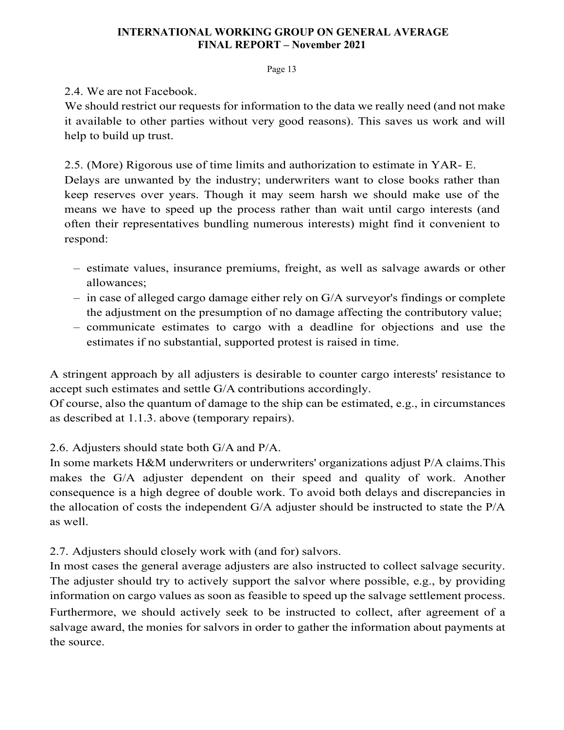Page 13

2.4. We are not Facebook.

We should restrict our requests for information to the data we really need (and not make it available to other parties without very good reasons). This saves us work and will help to build up trust.

2.5. (More) Rigorous use of time limits and authorization to estimate in YAR- E. Delays are unwanted by the industry; underwriters want to close books rather than keep reserves over years. Though it may seem harsh we should make use of the means we have to speed up the process rather than wait until cargo interests (and often their representatives bundling numerous interests) might find it convenient to respond:

- estimate values, insurance premiums, freight, as well as salvage awards or other allowances;
- in case of alleged cargo damage either rely on G/A surveyor's findings or complete the adjustment on the presumption of no damage affecting the contributory value;
- communicate estimates to cargo with a deadline for objections and use the estimates if no substantial, supported protest is raised in time.

A stringent approach by all adjusters is desirable to counter cargo interests' resistance to accept such estimates and settle G/A contributions accordingly.

Of course, also the quantum of damage to the ship can be estimated, e.g., in circumstances as described at 1.1.3. above (temporary repairs).

# 2.6. Adjusters should state both G/A and P/A.

In some markets H&M underwriters or underwriters' organizations adjust P/A claims. This makes the G/A adjuster dependent on their speed and quality of work. Another consequence is a high degree of double work. To avoid both delays and discrepancies in the allocation of costs the independent G/A adjuster should be instructed to state the P/A as well.

# 2.7. Adjusters should closely work with (and for) salvors.

In most cases the general average adjusters are also instructed to collect salvage security. The adjuster should try to actively support the salvor where possible, e.g., by providing information on cargo values as soon as feasible to speed up the salvage settlement process. Furthermore, we should actively seek to be instructed to collect, after agreement of a salvage award, the monies for salvors in order to gather the information about payments at the source.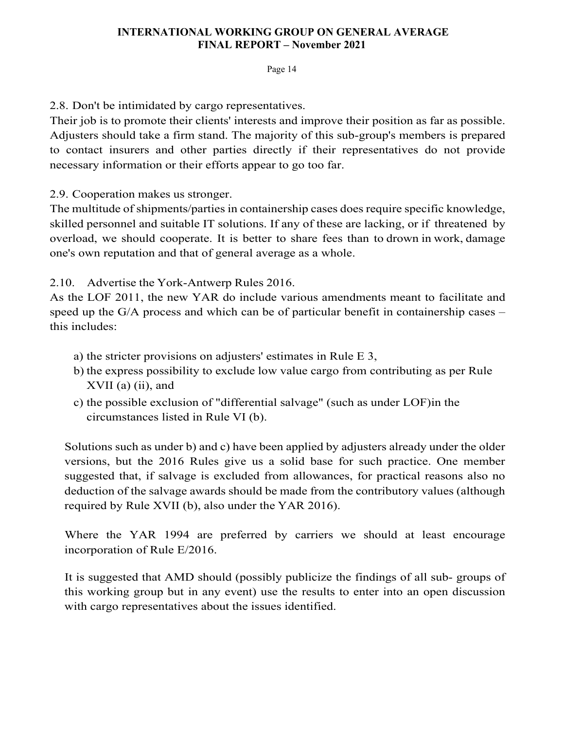### Page 14

2.8. Don't be intimidated by cargo representatives.

Their job is to promote their clients' interests and improve their position as far as possible. Adjusters should take a firm stand. The majority of this sub-group's members is prepared to contact insurers and other parties directly if their representatives do not provide necessary information or their efforts appear to go too far.

2.9. Cooperation makes us stronger.

The multitude of shipments/parties in containership cases does require specific knowledge, skilled personnel and suitable IT solutions. If any of these are lacking, or if threatened by overload, we should cooperate. It is better to share fees than to drown in work, damage one's own reputation and that of general average as a whole.

2.10. Advertise the York-Antwerp Rules 2016.

As the LOF 2011, the new YAR do include various amendments meant to facilitate and speed up the G/A process and which can be of particular benefit in containership cases – this includes:

- a) the stricter provisions on adjusters' estimates in Rule E 3,
- b) the express possibility to exclude low value cargo from contributing as per Rule  $XVII$  (a) (ii), and
- c) the possible exclusion of "differential salvage" (such as under LOF) in the circumstances listed in Rule VI (b).

Solutions such as under b) and c) have been applied by adjusters already under the older versions, but the 2016 Rules give us a solid base for such practice. One member suggested that, if salvage is excluded from allowances, for practical reasons also no deduction of the salvage awards should be made from the contributory values (although required by Rule XVII (b), also under the YAR 2016).

Where the YAR 1994 are preferred by carriers we should at least encourage incorporation of Rule E/2016.

It is suggested that AMD should (possibly publicize the findings of all sub- groups of this working group but in any event) use the results to enter into an open discussion with cargo representatives about the issues identified.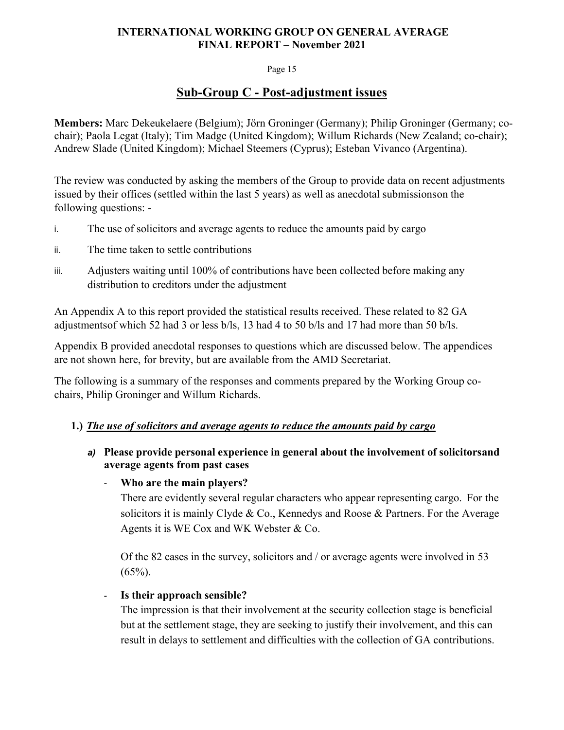### Page 15

# **Sub-Group C - Post-adjustment issues**

**Members:** Marc Dekeukelaere (Belgium); Jörn Groninger (Germany); Philip Groninger (Germany; cochair); Paola Legat (Italy); Tim Madge (United Kingdom); Willum Richards (New Zealand; co-chair); Andrew Slade (United Kingdom); Michael Steemers (Cyprus); Esteban Vivanco (Argentina).

The review was conducted by asking the members of the Group to provide data on recent adjustments issued by their offices (settled within the last 5 years) as well as anecdotal submissions on the following questions: -

- i. The use of solicitors and average agents to reduce the amounts paid by cargo
- ii. The time taken to settle contributions
- iii. Adjusters waiting until 100% of contributions have been collected before making any distribution to creditors under the adjustment

An Appendix A to this report provided the statistical results received. These related to 82 GA adjustments of which 52 had 3 or less b/ls, 13 had 4 to 50 b/ls and 17 had more than 50 b/ls.

Appendix B provided anecdotal responses to questions which are discussed below. The appendices are not shown here, for brevity, but are available from the AMD Secretariat.

The following is a summary of the responses and comments prepared by the Working Group cochairs, Philip Groninger and Willum Richards.

### **1.)** *The use of solicitors and average agents to reduce the amounts paid by cargo*

- a) Please provide personal experience in general about the involvement of solicitors and **average agents from past cases** 
	- **Who are the main players?**

There are evidently several regular characters who appear representing cargo. For the solicitors it is mainly Clyde & Co., Kennedys and Roose & Partners. For the Average Agents it is WE Cox and WK Webster & Co.

Of the 82 cases in the survey, solicitors and / or average agents were involved in 53  $(65\%)$ .

### - **Is their approach sensible?**

The impression is that their involvement at the security collection stage is beneficial but at the settlement stage, they are seeking to justify their involvement, and this can result in delays to settlement and difficulties with the collection of GA contributions.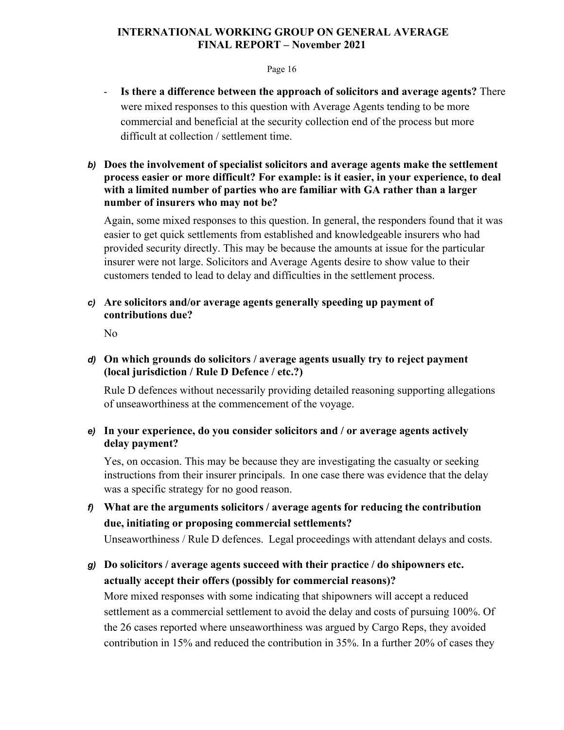### Page 16

- **Is there a difference between the approach of solicitors and average agents?** There were mixed responses to this question with Average Agents tending to be more commercial and beneficial at the security collection end of the process but more difficult at collection / settlement time.
- *b)* **Does the involvement of specialist solicitors and average agents make the settlement process easier or more difficult? For example: is it easier, in your experience, to deal with a limited number of parties who are familiar with GA rather than a larger number of insurers who may not be?**

Again, some mixed responses to this question. In general, the responders found that it was easier to get quick settlements from established and knowledgeable insurers who had provided security directly. This may be because the amounts at issue for the particular insurer were not large. Solicitors and Average Agents desire to show value to their customers tended to lead to delay and difficulties in the settlement process.

*c)* **Are solicitors and/or average agents generally speeding up payment of contributions due?** 

No

# *d)* **On which grounds do solicitors / average agents usually try to reject payment (local jurisdiction / Rule D Defence / etc.?)**

Rule D defences without necessarily providing detailed reasoning supporting allegations of unseaworthiness at the commencement of the voyage.

# *e)* **In your experience, do you consider solicitors and / or average agents actively delay payment?**

Yes, on occasion. This may be because they are investigating the casualty or seeking instructions from their insurer principals. In one case there was evidence that the delay was a specific strategy for no good reason.

*f)* **What are the arguments solicitors / average agents for reducing the contribution due, initiating or proposing commercial settlements?** 

Unseaworthiness / Rule D defences. Legal proceedings with attendant delays and costs.

*g)* **Do solicitors / average agents succeed with their practice / do shipowners etc. actually accept their offers (possibly for commercial reasons)?** 

More mixed responses with some indicating that shipowners will accept a reduced settlement as a commercial settlement to avoid the delay and costs of pursuing 100%. Of the 26 cases reported where unseaworthiness was argued by Cargo Reps, they avoided contribution in 15% and reduced the contribution in 35%. In a further 20% of cases they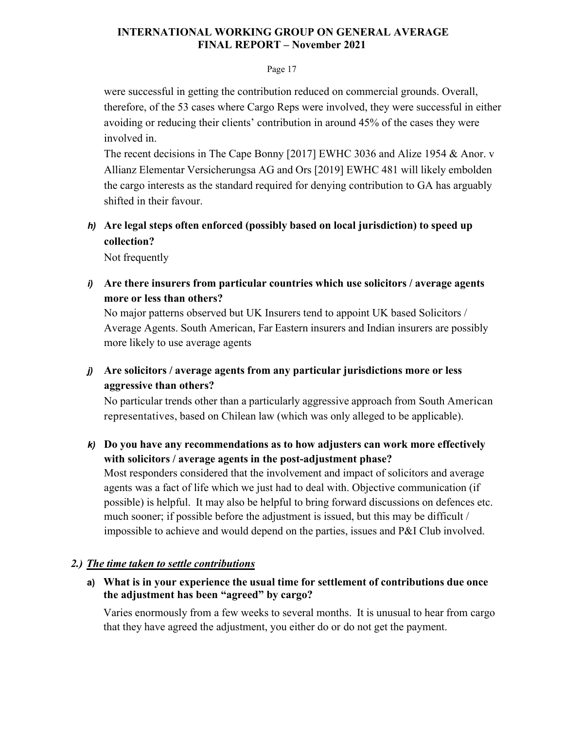### Page 17

were successful in getting the contribution reduced on commercial grounds. Overall, therefore, of the 53 cases where Cargo Reps were involved, they were successful in either avoiding or reducing their clients' contribution in around 45% of the cases they were involved in.

The recent decisions in The Cape Bonny [2017] EWHC 3036 and Alize 1954 & Anor. v Allianz Elementar Versicherungsa AG and Ors [2019] EWHC 481 will likely embolden the cargo interests as the standard required for denying contribution to GA has arguably shifted in their favour.

*h)* **Are legal steps often enforced (possibly based on local jurisdiction) to speed up collection?** 

Not frequently

*i)* **Are there insurers from particular countries which use solicitors / average agents more or less than others?** 

No major patterns observed but UK Insurers tend to appoint UK based Solicitors / Average Agents. South American, Far Eastern insurers and Indian insurers are possibly more likely to use average agents

# *j)* **Are solicitors / average agents from any particular jurisdictions more or less aggressive than others?**

No particular trends other than a particularly aggressive approach from South American representatives, based on Chilean law (which was only alleged to be applicable).

*k)* **Do you have any recommendations as to how adjusters can work more effectively with solicitors / average agents in the post-adjustment phase?** 

Most responders considered that the involvement and impact of solicitors and average agents was a fact of life which we just had to deal with. Objective communication (if possible) is helpful. It may also be helpful to bring forward discussions on defences etc. much sooner; if possible before the adjustment is issued, but this may be difficult / impossible to achieve and would depend on the parties, issues and P&I Club involved.

# *2.) The time taken to settle contributions*

**a) What is in your experience the usual time for settlement of contributions due once the adjustment has been "agreed" by cargo?** 

Varies enormously from a few weeks to several months. It is unusual to hear from cargo that they have agreed the adjustment, you either do or do not get the payment.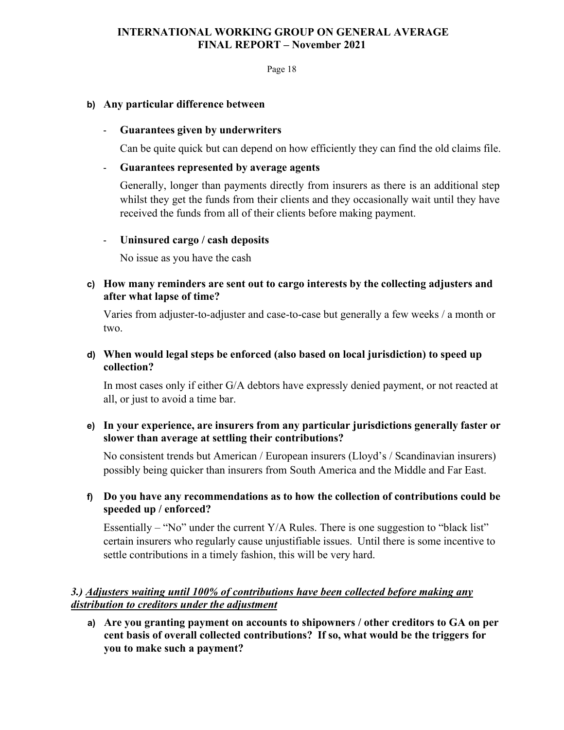Page 18

### **b) Any particular difference between**

### - **Guarantees given by underwriters**

Can be quite quick but can depend on how efficiently they can find the old claims file.

### - **Guarantees represented by average agents**

Generally, longer than payments directly from insurers as there is an additional step whilst they get the funds from their clients and they occasionally wait until they have received the funds from all of their clients before making payment.

# - **Uninsured cargo / cash deposits**

No issue as you have the cash

# **c) How many reminders are sent out to cargo interests by the collecting adjusters and after what lapse of time?**

Varies from adjuster-to-adjuster and case-to-case but generally a few weeks / a month or two.

# **d) When would legal steps be enforced (also based on local jurisdiction) to speed up collection?**

In most cases only if either G/A debtors have expressly denied payment, or not reacted at all, or just to avoid a time bar.

# **e) In your experience, are insurers from any particular jurisdictions generally faster or slower than average at settling their contributions?**

No consistent trends but American / European insurers (Lloyd's / Scandinavian insurers) possibly being quicker than insurers from South America and the Middle and Far East.

# **f) Do you have any recommendations as to how the collection of contributions could be speeded up / enforced?**

Essentially – "No" under the current  $Y/A$  Rules. There is one suggestion to "black list" certain insurers who regularly cause unjustifiable issues. Until there is some incentive to settle contributions in a timely fashion, this will be very hard.

# *3.) Adjusters waiting until 100% of contributions have been collected before making any distribution to creditors under the adjustment*

**a) Are you granting payment on accounts to shipowners / other creditors to GA on per cent basis of overall collected contributions? If so, what would be the triggers for you to make such a payment?**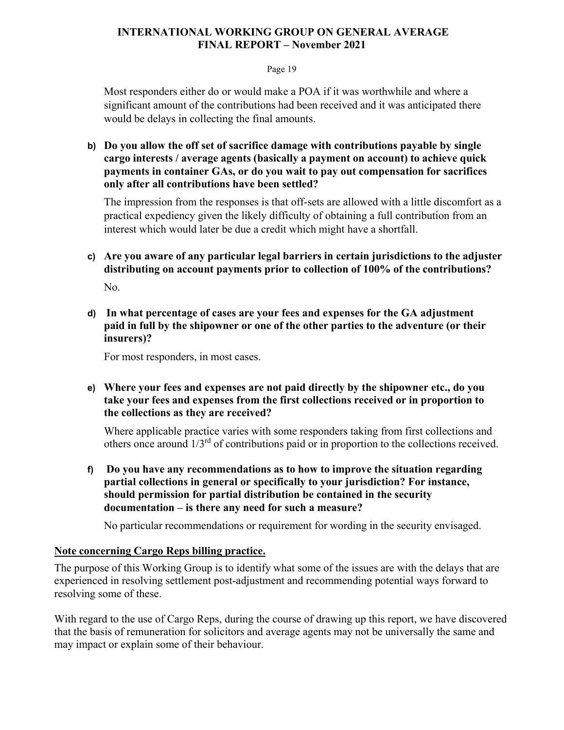### Page 19

Most responders either do or would make a POA if it was worthwhile and where a significant amount of the contributions had been received and it was anticipated there would be delays in collecting the final amounts.

**b) Do you allow the off set of sacrifice damage with contributions payable by single cargo interests / average agents (basically a payment on account) to achieve quick payments in container GAs, or do you wait to pay out compensation for sacrifices only after all contributions have been settled?** 

The impression from the responses is that off-sets are allowed with a little discomfort as a practical expediency given the likely difficulty of obtaining a full contribution from an interest which would later be due a credit which might have a shortfall.

**c) Are you aware of any particular legal barriers in certain jurisdictions to the adjuster distributing on account payments prior to collection of 100% of the contributions?** 

No.

**d) In what percentage of cases are your fees and expenses for the GA adjustment paid in full by the shipowner or one of the other parties to the adventure (or their insurers)?** 

For most responders, in most cases.

# **e) Where your fees and expenses are not paid directly by the shipowner etc., do you take your fees and expenses from the first collections received or in proportion to the collections as they are received?**

Where applicable practice varies with some responders taking from first collections and others once around 1/3rd of contributions paid or in proportion to the collections received.

**f) Do you have any recommendations as to how to improve the situation regarding partial collections in general or specifically to your jurisdiction? For instance, should permission for partial distribution be contained in the security documentation – is there any need for such a measure?** 

No particular recommendations or requirement for wording in the security envisaged.

# **Note concerning Cargo Reps billing practice.**

The purpose of this Working Group is to identify what some of the issues are with the delays that are experienced in resolving settlement post-adjustment and recommending potential ways forward to resolving some of these.

With regard to the use of Cargo Reps, during the course of drawing up this report, we have discovered that the basis of remuneration for solicitors and average agents may not be universally the same and may impact or explain some of their behaviour.